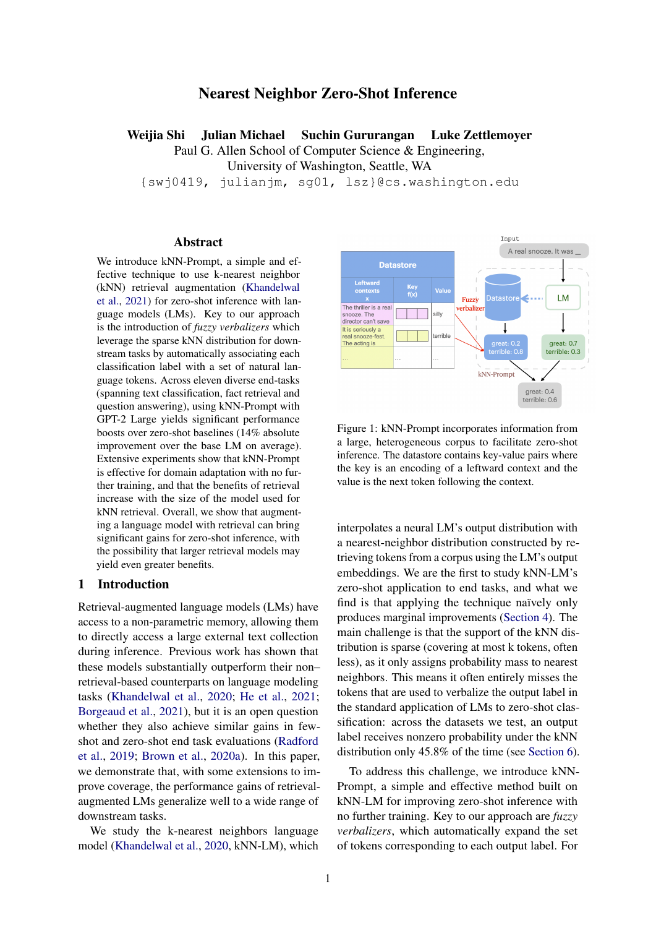# Nearest Neighbor Zero-Shot Inference

## Weijia Shi Julian Michael Suchin Gururangan Luke Zettlemoyer

Paul G. Allen School of Computer Science & Engineering, University of Washington, Seattle, WA

{swj0419, julianjm, sg01, lsz}@cs.washington.edu

## Abstract

We introduce kNN-Prompt, a simple and effective technique to use k-nearest neighbor (kNN) retrieval augmentation [\(Khandelwal](#page-8-0) [et al.,](#page-8-0) [2021\)](#page-8-0) for zero-shot inference with language models (LMs). Key to our approach is the introduction of *fuzzy verbalizers* which leverage the sparse kNN distribution for downstream tasks by automatically associating each classification label with a set of natural language tokens. Across eleven diverse end-tasks (spanning text classification, fact retrieval and question answering), using kNN-Prompt with GPT-2 Large yields significant performance boosts over zero-shot baselines (14% absolute improvement over the base LM on average). Extensive experiments show that kNN-Prompt is effective for domain adaptation with no further training, and that the benefits of retrieval increase with the size of the model used for kNN retrieval. Overall, we show that augmenting a language model with retrieval can bring significant gains for zero-shot inference, with the possibility that larger retrieval models may yield even greater benefits.

## 1 Introduction

Retrieval-augmented language models (LMs) have access to a non-parametric memory, allowing them to directly access a large external text collection during inference. Previous work has shown that these models substantially outperform their non– retrieval-based counterparts on language modeling tasks [\(Khandelwal et al.,](#page-8-1) [2020;](#page-8-1) [He et al.,](#page-8-2) [2021;](#page-8-2) [Borgeaud et al.,](#page-7-0) [2021\)](#page-7-0), but it is an open question whether they also achieve similar gains in fewshot and zero-shot end task evaluations [\(Radford](#page-8-3) [et al.,](#page-8-3) [2019;](#page-8-3) [Brown et al.,](#page-7-1) [2020a\)](#page-7-1). In this paper, we demonstrate that, with some extensions to improve coverage, the performance gains of retrievalaugmented LMs generalize well to a wide range of downstream tasks.

We study the k-nearest neighbors language model [\(Khandelwal et al.,](#page-8-1) [2020,](#page-8-1) kNN-LM), which

<span id="page-0-0"></span>

Figure 1: kNN-Prompt incorporates information from a large, heterogeneous corpus to facilitate zero-shot inference. The datastore contains key-value pairs where the key is an encoding of a leftward context and the value is the next token following the context.

interpolates a neural LM's output distribution with a nearest-neighbor distribution constructed by retrieving tokens from a corpus using the LM's output embeddings. We are the first to study kNN-LM's zero-shot application to end tasks, and what we find is that applying the technique naïvely only produces marginal improvements [\(Section 4\)](#page-4-0). The main challenge is that the support of the kNN distribution is sparse (covering at most k tokens, often less), as it only assigns probability mass to nearest neighbors. This means it often entirely misses the tokens that are used to verbalize the output label in the standard application of LMs to zero-shot classification: across the datasets we test, an output label receives nonzero probability under the kNN distribution only 45.8% of the time (see [Section 6\)](#page-5-0).

To address this challenge, we introduce kNN-Prompt, a simple and effective method built on kNN-LM for improving zero-shot inference with no further training. Key to our approach are *fuzzy verbalizers*, which automatically expand the set of tokens corresponding to each output label. For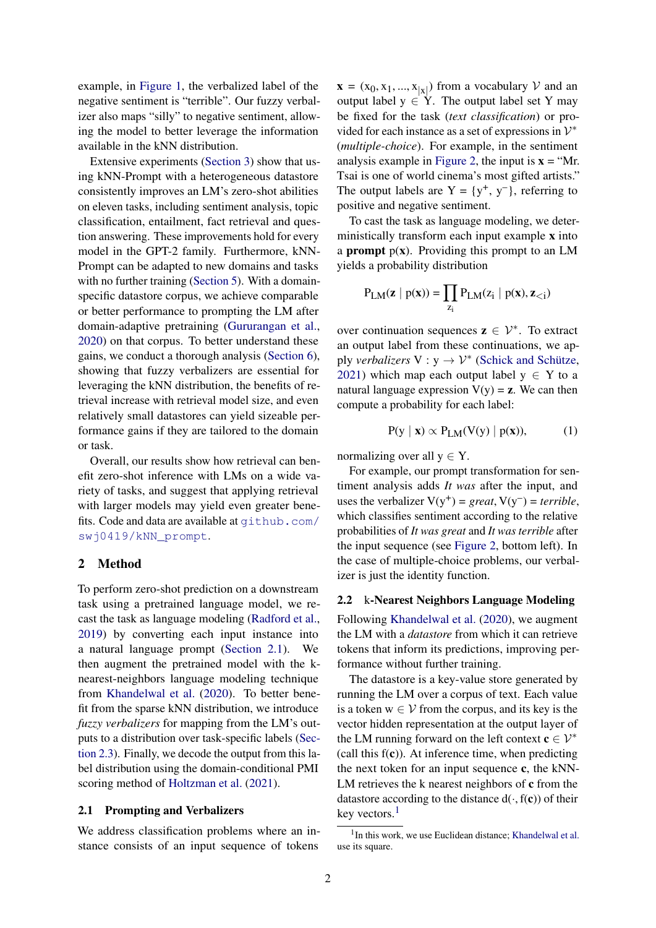example, in [Figure 1,](#page-0-0) the verbalized label of the negative sentiment is "terrible". Our fuzzy verbalizer also maps "silly" to negative sentiment, allowing the model to better leverage the information available in the kNN distribution.

Extensive experiments [\(Section 3\)](#page-3-0) show that using kNN-Prompt with a heterogeneous datastore consistently improves an LM's zero-shot abilities on eleven tasks, including sentiment analysis, topic classification, entailment, fact retrieval and question answering. These improvements hold for every model in the GPT-2 family. Furthermore, kNN-Prompt can be adapted to new domains and tasks with no further training [\(Section 5\)](#page-4-1). With a domainspecific datastore corpus, we achieve comparable or better performance to prompting the LM after domain-adaptive pretraining [\(Gururangan et al.,](#page-7-2) [2020\)](#page-7-2) on that corpus. To better understand these gains, we conduct a thorough analysis [\(Section 6\)](#page-5-0), showing that fuzzy verbalizers are essential for leveraging the kNN distribution, the benefits of retrieval increase with retrieval model size, and even relatively small datastores can yield sizeable performance gains if they are tailored to the domain or task.

Overall, our results show how retrieval can benefit zero-shot inference with LMs on a wide variety of tasks, and suggest that applying retrieval with larger models may yield even greater benefits. Code and data are available at [github.com/](github.com/swj0419/kNN_prompt) [swj0419/kNN\\_prompt](github.com/swj0419/kNN_prompt).

## 2 Method

To perform zero-shot prediction on a downstream task using a pretrained language model, we recast the task as language modeling [\(Radford et al.,](#page-8-3) [2019\)](#page-8-3) by converting each input instance into a natural language prompt [\(Section 2.1\)](#page-1-0). We then augment the pretrained model with the knearest-neighbors language modeling technique from [Khandelwal et al.](#page-8-1) [\(2020\)](#page-8-1). To better benefit from the sparse kNN distribution, we introduce *fuzzy verbalizers* for mapping from the LM's outputs to a distribution over task-specific labels [\(Sec](#page-2-0)[tion 2.3\)](#page-2-0). Finally, we decode the output from this label distribution using the domain-conditional PMI scoring method of [Holtzman et al.](#page-8-4) [\(2021\)](#page-8-4).

#### <span id="page-1-0"></span>2.1 Prompting and Verbalizers

We address classification problems where an instance consists of an input sequence of tokens

 $\mathbf{x} = (x_0, x_1, ..., x_{|x|})$  from a vocabulary V and an output label  $y \in Y$ . The output label set Y may be fixed for the task (*text classification*) or provided for each instance as a set of expressions in  $\mathcal{V}^*$ (*multiple-choice*). For example, in the sentiment analysis example in [Figure 2,](#page-2-1) the input is  $x = "Mr.$ Tsai is one of world cinema's most gifted artists." The output labels are  $Y = \{y^+, y^-\}$ , referring to positive and negative sentiment.

To cast the task as language modeling, we deterministically transform each input example x into a **prompt**  $p(x)$ . Providing this prompt to an LM yields a probability distribution

$$
P_{LM}(\mathbf{z} \mid p(\mathbf{x})) = \prod_{z_i} P_{LM}(z_i \mid p(\mathbf{x}), \mathbf{z}_{\leq i})
$$

over continuation sequences  $z \in \mathcal{V}^*$ . To extract an output label from these continuations, we apply *verbalizers*  $V : y \rightarrow V^*$  [\(Schick and Schütze,](#page-9-0) [2021\)](#page-9-0) which map each output label  $y \in Y$  to a natural language expression  $V(y) = z$ . We can then compute a probability for each label:

$$
P(y | x) \propto P_{LM}(V(y) | p(x)), \tag{1}
$$

normalizing over all  $y \in Y$ .

For example, our prompt transformation for sentiment analysis adds *It was* after the input, and uses the verbalizer  $V(y^+) = great, V(y^-) = terrible,$ which classifies sentiment according to the relative probabilities of *It was great* and *It was terrible* after the input sequence (see [Figure 2,](#page-2-1) bottom left). In the case of multiple-choice problems, our verbalizer is just the identity function.

## <span id="page-1-2"></span>2.2 k-Nearest Neighbors Language Modeling

Following [Khandelwal et al.](#page-8-1) [\(2020\)](#page-8-1), we augment the LM with a *datastore* from which it can retrieve tokens that inform its predictions, improving performance without further training.

The datastore is a key-value store generated by running the LM over a corpus of text. Each value is a token  $w \in V$  from the corpus, and its key is the vector hidden representation at the output layer of the LM running forward on the left context  $c \in \mathcal{V}^*$ (call this  $f(c)$ ). At inference time, when predicting the next token for an input sequence c, the kNN-LM retrieves the k nearest neighbors of c from the datastore according to the distance  $d(\cdot, f(c))$  of their key vectors.<sup>[1](#page-1-1)</sup>

<span id="page-1-1"></span><sup>&</sup>lt;sup>1</sup> In this work, we use Euclidean distance; [Khandelwal et al.](#page-8-1) use its square.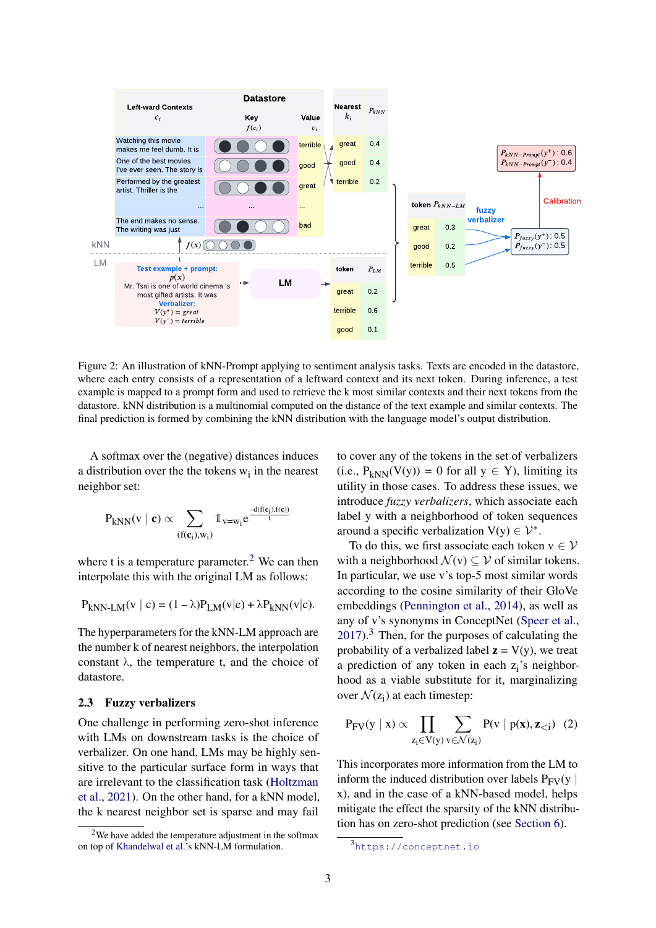<span id="page-2-1"></span>

Figure 2: An illustration of kNN-Prompt applying to sentiment analysis tasks. Texts are encoded in the datastore, where each entry consists of a representation of a leftward context and its next token. During inference, a test example is mapped to a prompt form and used to retrieve the k most similar contexts and their next tokens from the datastore. kNN distribution is a multinomial computed on the distance of the text example and similar contexts. The final prediction is formed by combining the kNN distribution with the language model's output distribution.

A softmax over the (negative) distances induces a distribution over the the tokens  $w_i$  in the nearest neighbor set:

$$
P_{kNN}(v\mid \boldsymbol{c}) \propto \sum_{(f(\boldsymbol{c}_i),w_i)} \mathbb{1}_{v=w_i} e^{\frac{-d(f(\boldsymbol{c}_i),f(\boldsymbol{c}))}{t}}
$$

where t is a temperature parameter.<sup>[2](#page-2-2)</sup> We can then interpolate this with the original LM as follows:

$$
P_{kNN-LM}(v \mid c) = (1 - \lambda)P_{LM}(v|c) + \lambda P_{kNN}(v|c).
$$

The hyperparameters for the kNN-LM approach are the number k of nearest neighbors, the interpolation constant  $\lambda$ , the temperature t, and the choice of datastore.

## <span id="page-2-0"></span>2.3 Fuzzy verbalizers

One challenge in performing zero-shot inference with LMs on downstream tasks is the choice of verbalizer. On one hand, LMs may be highly sensitive to the particular surface form in ways that are irrelevant to the classification task [\(Holtzman](#page-8-4) [et al.,](#page-8-4) [2021\)](#page-8-4). On the other hand, for a kNN model, the k nearest neighbor set is sparse and may fail

to cover any of the tokens in the set of verbalizers (i.e.,  $P_{kNN}(V(y)) = 0$  for all  $y \in Y$ ), limiting its utility in those cases. To address these issues, we introduce *fuzzy verbalizers*, which associate each label y with a neighborhood of token sequences around a specific verbalization  $V(y) \in \mathcal{V}^*$ .

To do this, we first associate each token  $v \in V$ with a neighborhood  $\mathcal{N}(v) \subset \mathcal{V}$  of similar tokens. In particular, we use v's top-5 most similar words according to the cosine similarity of their GloVe embeddings [\(Pennington et al.,](#page-8-5) [2014\)](#page-8-5), as well as any of v's synonyms in ConceptNet [\(Speer et al.,](#page-9-1)  $2017$ ).<sup>[3](#page-2-3)</sup> Then, for the purposes of calculating the probability of a verbalized label  $z = V(y)$ , we treat a prediction of any token in each  $z_i$ 's neighborhood as a viable substitute for it, marginalizing over  $\mathcal{N}(z_i)$  at each timestep:

<span id="page-2-4"></span>
$$
P_{FV}(y \mid x) \propto \prod_{z_i \in V(y)} \sum_{v \in \mathcal{N}(z_i)} P(v \mid p(x), z_{< i}) \quad (2)
$$

This incorporates more information from the LM to inform the induced distribution over labels  $P_{FV}(v)$ x), and in the case of a kNN-based model, helps mitigate the effect the sparsity of the kNN distribution has on zero-shot prediction (see [Section 6\)](#page-5-1).

<span id="page-2-2"></span> $2$ We have added the temperature adjustment in the softmax on top of [Khandelwal et al.'](#page-8-1)s kNN-LM formulation.

<span id="page-2-3"></span><sup>3</sup><https://conceptnet.io>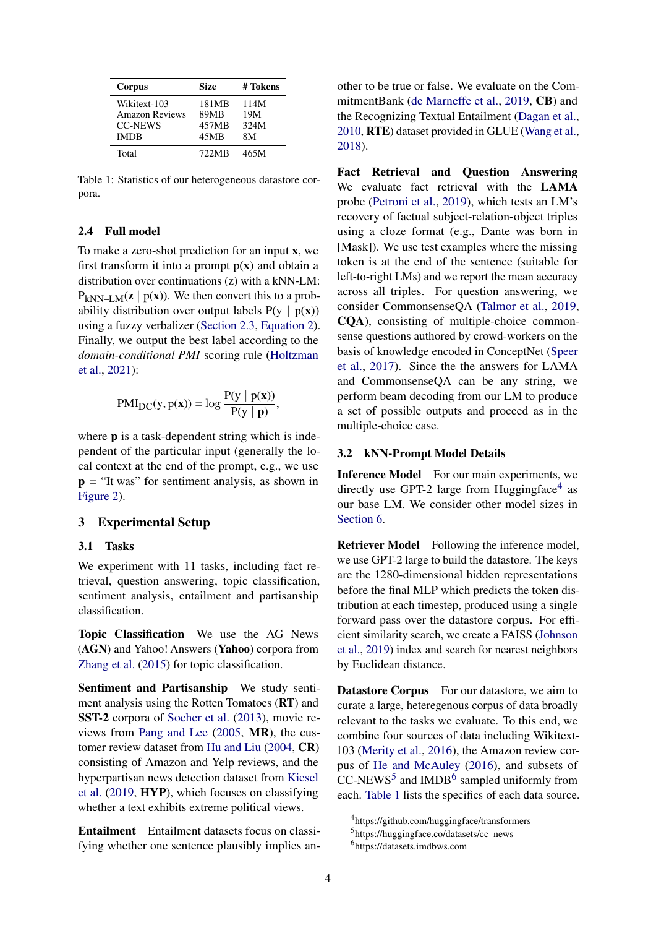<span id="page-3-4"></span>

| Corpus                | <b>Size</b> | # Tokens |
|-----------------------|-------------|----------|
| Wikitext-103          | 181MB       | 114M     |
| <b>Amazon Reviews</b> | 89MB        | 19M      |
| <b>CC-NEWS</b>        | 457MB       | 324M     |
| <b>IMDB</b>           | 45MB        | 8M       |
| Total                 | 722MB       | 465M     |

Table 1: Statistics of our heterogeneous datastore corpora.

### <span id="page-3-5"></span>2.4 Full model

To make a zero-shot prediction for an input x, we first transform it into a prompt  $p(x)$  and obtain a distribution over continuations (z) with a kNN-LM:  $P_{kNN-I M}(\mathbf{z} \mid \mathbf{p}(\mathbf{x}))$ . We then convert this to a probability distribution over output labels  $P(y | p(x))$ using a fuzzy verbalizer [\(Section 2.3,](#page-2-0) [Equation 2\)](#page-2-4). Finally, we output the best label according to the *domain-conditional PMI* scoring rule [\(Holtzman](#page-8-4) [et al.,](#page-8-4) [2021\)](#page-8-4):

$$
PMI_{DC}(y, p(x)) = \log \frac{P(y | p(x))}{P(y | p)},
$$

where **p** is a task-dependent string which is independent of the particular input (generally the local context at the end of the prompt, e.g., we use  $p =$  "It was" for sentiment analysis, as shown in [Figure 2\)](#page-2-1).

## <span id="page-3-0"></span>3 Experimental Setup

#### 3.1 Tasks

We experiment with 11 tasks, including fact retrieval, question answering, topic classification, sentiment analysis, entailment and partisanship classification.

Topic Classification We use the AG News (AGN) and Yahoo! Answers (Yahoo) corpora from [Zhang et al.](#page-9-2) [\(2015\)](#page-9-2) for topic classification.

Sentiment and Partisanship We study sentiment analysis using the Rotten Tomatoes (RT) and SST-2 corpora of [Socher et al.](#page-9-3) [\(2013\)](#page-9-3), movie reviews from [Pang and Lee](#page-8-6) [\(2005,](#page-8-6) MR), the customer review dataset from [Hu and Liu](#page-8-7) [\(2004,](#page-8-7) CR) consisting of Amazon and Yelp reviews, and the hyperpartisan news detection dataset from [Kiesel](#page-8-8) [et al.](#page-8-8) [\(2019,](#page-8-8) HYP), which focuses on classifying whether a text exhibits extreme political views.

Entailment Entailment datasets focus on classifying whether one sentence plausibly implies another to be true or false. We evaluate on the CommitmentBank [\(de Marneffe et al.,](#page-7-3) [2019,](#page-7-3) CB) and the Recognizing Textual Entailment [\(Dagan et al.,](#page-7-4) [2010,](#page-7-4) RTE) dataset provided in GLUE [\(Wang et al.,](#page-9-4) [2018\)](#page-9-4).

Fact Retrieval and Question Answering We evaluate fact retrieval with the LAMA probe [\(Petroni et al.,](#page-8-9) [2019\)](#page-8-9), which tests an LM's recovery of factual subject-relation-object triples using a cloze format (e.g., Dante was born in [Mask]). We use test examples where the missing token is at the end of the sentence (suitable for left-to-right LMs) and we report the mean accuracy across all triples. For question answering, we consider CommonsenseQA [\(Talmor et al.,](#page-9-5) [2019,](#page-9-5) CQA), consisting of multiple-choice commonsense questions authored by crowd-workers on the basis of knowledge encoded in ConceptNet [\(Speer](#page-9-1) [et al.,](#page-9-1) [2017\)](#page-9-1). Since the the answers for LAMA and CommonsenseQA can be any string, we perform beam decoding from our LM to produce a set of possible outputs and proceed as in the multiple-choice case.

## <span id="page-3-6"></span>3.2 kNN-Prompt Model Details

Inference Model For our main experiments, we directly use GPT-2 large from Huggingface<sup>[4](#page-3-1)</sup> as our base LM. We consider other model sizes in [Section 6.](#page-5-0)

Retriever Model Following the inference model, we use GPT-2 large to build the datastore. The keys are the 1280-dimensional hidden representations before the final MLP which predicts the token distribution at each timestep, produced using a single forward pass over the datastore corpus. For efficient similarity search, we create a FAISS [\(Johnson](#page-8-10) [et al.,](#page-8-10) [2019\)](#page-8-10) index and search for nearest neighbors by Euclidean distance.

**Datastore Corpus** For our datastore, we aim to curate a large, heteregenous corpus of data broadly relevant to the tasks we evaluate. To this end, we combine four sources of data including Wikitext-103 [\(Merity et al.,](#page-8-11) [2016\)](#page-8-11), the Amazon review corpus of [He and McAuley](#page-8-12) [\(2016\)](#page-8-12), and subsets of  $CC\text{-}NEWS^5$  $CC\text{-}NEWS^5$  and IMDB<sup>[6](#page-3-3)</sup> sampled uniformly from each. [Table 1](#page-3-4) lists the specifics of each data source.

<span id="page-3-1"></span><sup>4</sup> https://github.com/huggingface/transformers

<span id="page-3-2"></span><sup>5</sup> https://huggingface.co/datasets/cc\_news

<span id="page-3-3"></span><sup>6</sup> https://datasets.imdbws.com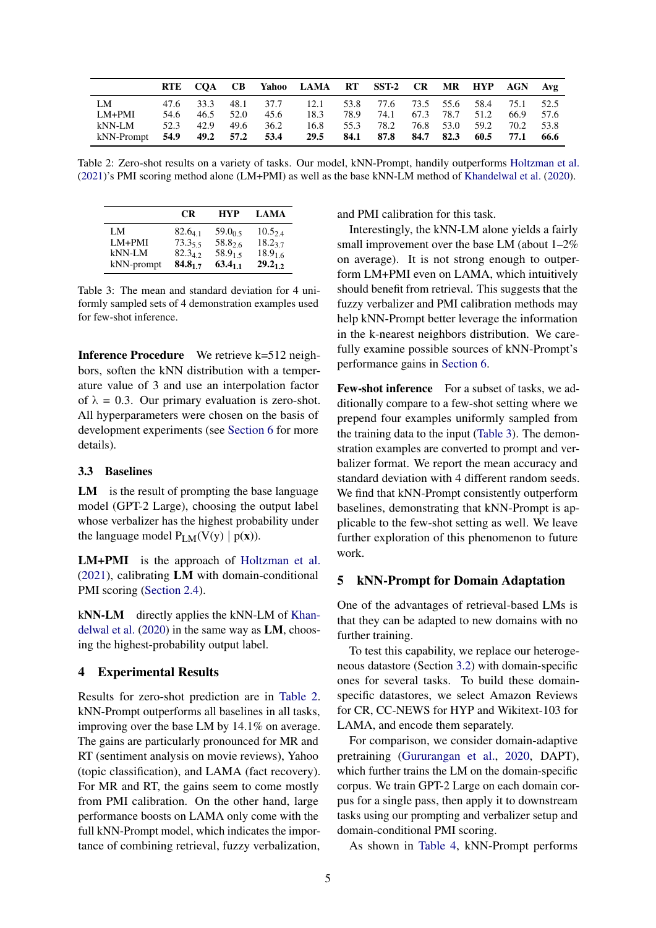<span id="page-4-2"></span>

|                           |      |      |      |      | RTE CQA CB Yahoo LAMA RT SST-2 CR MR HYP AGN Avg            |      |                          |  |                |           |        |
|---------------------------|------|------|------|------|-------------------------------------------------------------|------|--------------------------|--|----------------|-----------|--------|
| -LM                       |      |      |      |      | 47.6 33.3 48.1 37.7 12.1 53.8 77.6 73.5 55.6 58.4 75.1 52.5 |      |                          |  |                |           |        |
| LM+PMI                    | 54.6 | 46.5 | 52.0 | 45.6 | 18.3 78.9                                                   |      | 74.1 67.3 78.7 51.2      |  |                | 66.9 57.6 |        |
| kNN-LM                    | 52.3 | 42.9 | 49.6 | 36.2 | 16.8                                                        | 55.3 | $-78.2$                  |  | 76.8 53.0 59.2 | 70.2 53.8 |        |
| kNN-Prompt 54.9 49.2 57.2 |      |      |      | 53.4 | 29.5                                                        |      | 84.1 87.8 84.7 82.3 60.5 |  |                | 77.1      | - 66.6 |

Table 2: Zero-shot results on a variety of tasks. Our model, kNN-Prompt, handily outperforms [Holtzman et al.](#page-8-4) [\(2021\)](#page-8-4)'s PMI scoring method alone (LM+PMI) as well as the base kNN-LM method of [Khandelwal et al.](#page-8-1) [\(2020\)](#page-8-1).

<span id="page-4-3"></span>

|            | CR.          | <b>HYP</b>          | <b>LAMA</b>  |
|------------|--------------|---------------------|--------------|
| LM         | $82.6_{4}$ 1 | 59.0 <sub>0.5</sub> | $10.5_{2.4}$ |
| $LM+PMI$   | $73.3_{5.5}$ | 58.826              | 18.237       |
| kNN-LM     | $82.3_{42}$  | 58.9 <sub>15</sub>  | $18.9_{1.6}$ |
| kNN-prompt | $84.8_{1.7}$ | 63.4 <sub>11</sub>  | $29.2_{1,2}$ |

Table 3: The mean and standard deviation for 4 uniformly sampled sets of 4 demonstration examples used for few-shot inference.

Inference Procedure We retrieve k=512 neighbors, soften the kNN distribution with a temperature value of 3 and use an interpolation factor of  $\lambda = 0.3$ . Our primary evaluation is zero-shot. All hyperparameters were chosen on the basis of development experiments (see [Section 6](#page-6-0) for more details).

## 3.3 Baselines

LM is the result of prompting the base language model (GPT-2 Large), choosing the output label whose verbalizer has the highest probability under the language model  $P_{LM}(V(y) | p(x))$ .

LM+PMI is the approach of [Holtzman et al.](#page-8-4) [\(2021\)](#page-8-4), calibrating LM with domain-conditional PMI scoring [\(Section 2.4\)](#page-3-5).

kNN-LM directly applies the kNN-LM of [Khan](#page-8-1)[delwal et al.](#page-8-1) [\(2020\)](#page-8-1) in the same way as LM, choosing the highest-probability output label.

## <span id="page-4-0"></span>4 Experimental Results

Results for zero-shot prediction are in [Table 2.](#page-4-2) kNN-Prompt outperforms all baselines in all tasks, improving over the base LM by 14.1% on average. The gains are particularly pronounced for MR and RT (sentiment analysis on movie reviews), Yahoo (topic classification), and LAMA (fact recovery). For MR and RT, the gains seem to come mostly from PMI calibration. On the other hand, large performance boosts on LAMA only come with the full kNN-Prompt model, which indicates the importance of combining retrieval, fuzzy verbalization, and PMI calibration for this task.

Interestingly, the kNN-LM alone yields a fairly small improvement over the base LM (about 1–2% on average). It is not strong enough to outperform LM+PMI even on LAMA, which intuitively should benefit from retrieval. This suggests that the fuzzy verbalizer and PMI calibration methods may help kNN-Prompt better leverage the information in the k-nearest neighbors distribution. We carefully examine possible sources of kNN-Prompt's performance gains in [Section 6.](#page-5-0)

Few-shot inference For a subset of tasks, we additionally compare to a few-shot setting where we prepend four examples uniformly sampled from the training data to the input [\(Table 3\)](#page-4-3). The demonstration examples are converted to prompt and verbalizer format. We report the mean accuracy and standard deviation with 4 different random seeds. We find that kNN-Prompt consistently outperform baselines, demonstrating that kNN-Prompt is applicable to the few-shot setting as well. We leave further exploration of this phenomenon to future work.

#### <span id="page-4-1"></span>5 kNN-Prompt for Domain Adaptation

One of the advantages of retrieval-based LMs is that they can be adapted to new domains with no further training.

To test this capability, we replace our heterogeneous datastore (Section [3.2\)](#page-3-6) with domain-specific ones for several tasks. To build these domainspecific datastores, we select Amazon Reviews for CR, CC-NEWS for HYP and Wikitext-103 for LAMA, and encode them separately.

For comparison, we consider domain-adaptive pretraining [\(Gururangan et al.,](#page-7-2) [2020,](#page-7-2) DAPT), which further trains the LM on the domain-specific corpus. We train GPT-2 Large on each domain corpus for a single pass, then apply it to downstream tasks using our prompting and verbalizer setup and domain-conditional PMI scoring.

As shown in [Table 4,](#page-5-2) kNN-Prompt performs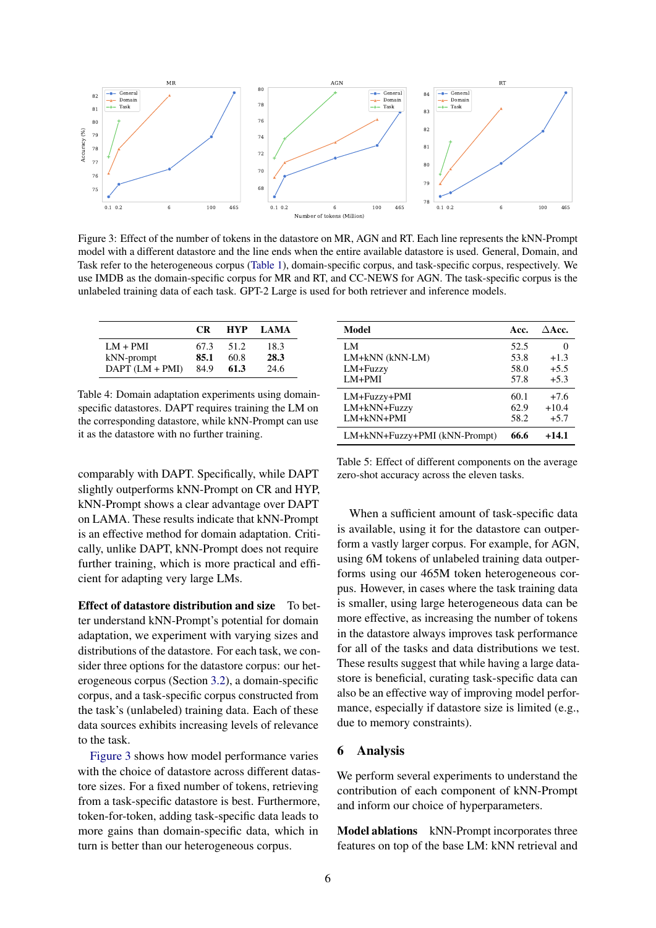<span id="page-5-3"></span>

Figure 3: Effect of the number of tokens in the datastore on MR, AGN and RT. Each line represents the kNN-Prompt model with a different datastore and the line ends when the entire available datastore is used. General, Domain, and Task refer to the heterogeneous corpus [\(Table 1\)](#page-3-4), domain-specific corpus, and task-specific corpus, respectively. We use IMDB as the domain-specific corpus for MR and RT, and CC-NEWS for AGN. The task-specific corpus is the unlabeled training data of each task. GPT-2 Large is used for both retriever and inference models.

<span id="page-5-2"></span>

|                     | CR.  | <b>HYP</b> | <b>LAMA</b> |
|---------------------|------|------------|-------------|
| $LM + PMI$          | 67.3 | 51.2       | 18.3        |
| kNN-prompt          | 85.1 | 60.8       | 28.3        |
| $DAPT$ $(LM + PMI)$ | 84.9 | 61.3       | 24.6        |

Table 4: Domain adaptation experiments using domainspecific datastores. DAPT requires training the LM on the corresponding datastore, while kNN-Prompt can use it as the datastore with no further training.

comparably with DAPT. Specifically, while DAPT slightly outperforms kNN-Prompt on CR and HYP, kNN-Prompt shows a clear advantage over DAPT on LAMA. These results indicate that kNN-Prompt is an effective method for domain adaptation. Critically, unlike DAPT, kNN-Prompt does not require further training, which is more practical and efficient for adapting very large LMs.

Effect of datastore distribution and size To better understand kNN-Prompt's potential for domain adaptation, we experiment with varying sizes and distributions of the datastore. For each task, we consider three options for the datastore corpus: our heterogeneous corpus (Section [3.2\)](#page-3-6), a domain-specific corpus, and a task-specific corpus constructed from the task's (unlabeled) training data. Each of these data sources exhibits increasing levels of relevance to the task.

[Figure 3](#page-5-3) shows how model performance varies with the choice of datastore across different datastore sizes. For a fixed number of tokens, retrieving from a task-specific datastore is best. Furthermore, token-for-token, adding task-specific data leads to more gains than domain-specific data, which in turn is better than our heterogeneous corpus.

<span id="page-5-4"></span>

| Model                         | Acc. | $\triangle$ Acc. |
|-------------------------------|------|------------------|
| LM                            | 52.5 |                  |
| LM+kNN (kNN-LM)               | 53.8 | $+1.3$           |
| LM+Fuzzy                      | 58.0 | $+5.5$           |
| $LM+PMI$                      | 57.8 | $+5.3$           |
| LM+Fuzzy+PMI                  | 60.1 | $+7.6$           |
| LM+kNN+Fuzzy                  | 62.9 | $+10.4$          |
| $LM+kNN+PMI$                  | 58.2 | $+5.7$           |
| LM+kNN+Fuzzy+PMI (kNN-Prompt) | 66.6 | $+14.1$          |

Table 5: Effect of different components on the average zero-shot accuracy across the eleven tasks.

When a sufficient amount of task-specific data is available, using it for the datastore can outperform a vastly larger corpus. For example, for AGN, using 6M tokens of unlabeled training data outperforms using our 465M token heterogeneous corpus. However, in cases where the task training data is smaller, using large heterogeneous data can be more effective, as increasing the number of tokens in the datastore always improves task performance for all of the tasks and data distributions we test. These results suggest that while having a large datastore is beneficial, curating task-specific data can also be an effective way of improving model performance, especially if datastore size is limited (e.g., due to memory constraints).

#### <span id="page-5-0"></span>6 Analysis

We perform several experiments to understand the contribution of each component of kNN-Prompt and inform our choice of hyperparameters.

<span id="page-5-1"></span>Model ablations kNN-Prompt incorporates three features on top of the base LM: kNN retrieval and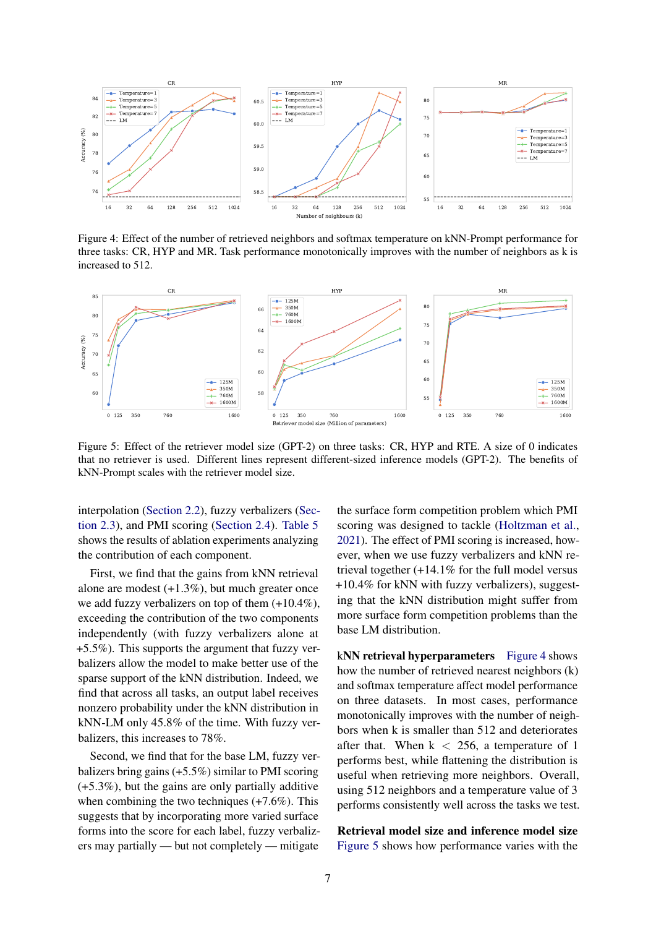<span id="page-6-1"></span>

Figure 4: Effect of the number of retrieved neighbors and softmax temperature on kNN-Prompt performance for three tasks: CR, HYP and MR. Task performance monotonically improves with the number of neighbors as k is increased to 512.

<span id="page-6-2"></span>

Figure 5: Effect of the retriever model size (GPT-2) on three tasks: CR, HYP and RTE. A size of 0 indicates that no retriever is used. Different lines represent different-sized inference models (GPT-2). The benefits of kNN-Prompt scales with the retriever model size.

interpolation [\(Section 2.2\)](#page-1-2), fuzzy verbalizers [\(Sec](#page-2-0)[tion 2.3\)](#page-2-0), and PMI scoring [\(Section 2.4\)](#page-3-5). [Table 5](#page-5-4) shows the results of ablation experiments analyzing the contribution of each component.

First, we find that the gains from kNN retrieval alone are modest (+1.3%), but much greater once we add fuzzy verbalizers on top of them (+10.4%), exceeding the contribution of the two components independently (with fuzzy verbalizers alone at +5.5%). This supports the argument that fuzzy verbalizers allow the model to make better use of the sparse support of the kNN distribution. Indeed, we find that across all tasks, an output label receives nonzero probability under the kNN distribution in kNN-LM only 45.8% of the time. With fuzzy verbalizers, this increases to 78%.

Second, we find that for the base LM, fuzzy verbalizers bring gains (+5.5%) similar to PMI scoring (+5.3%), but the gains are only partially additive when combining the two techniques (+7.6%). This suggests that by incorporating more varied surface forms into the score for each label, fuzzy verbalizers may partially — but not completely — mitigate

the surface form competition problem which PMI scoring was designed to tackle [\(Holtzman et al.,](#page-8-4) [2021\)](#page-8-4). The effect of PMI scoring is increased, however, when we use fuzzy verbalizers and kNN retrieval together (+14.1% for the full model versus +10.4% for kNN with fuzzy verbalizers), suggesting that the kNN distribution might suffer from more surface form competition problems than the base LM distribution.

<span id="page-6-0"></span>kNN retrieval hyperparameters [Figure 4](#page-6-1) shows how the number of retrieved nearest neighbors (k) and softmax temperature affect model performance on three datasets. In most cases, performance monotonically improves with the number of neighbors when k is smaller than 512 and deteriorates after that. When  $k < 256$ , a temperature of 1 performs best, while flattening the distribution is useful when retrieving more neighbors. Overall, using 512 neighbors and a temperature value of 3 performs consistently well across the tasks we test.

Retrieval model size and inference model size [Figure 5](#page-6-2) shows how performance varies with the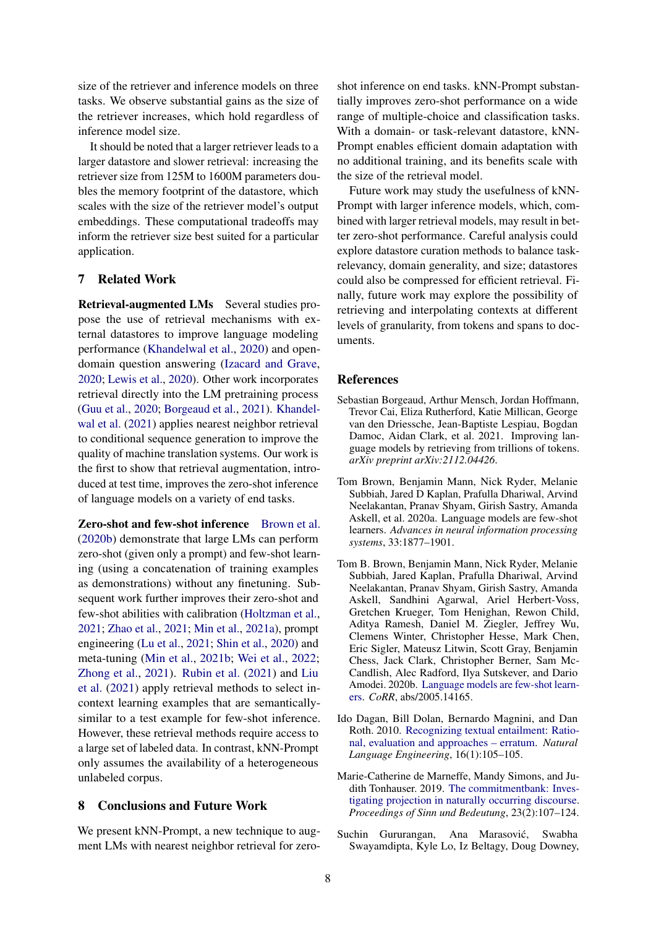size of the retriever and inference models on three tasks. We observe substantial gains as the size of the retriever increases, which hold regardless of inference model size.

It should be noted that a larger retriever leads to a larger datastore and slower retrieval: increasing the retriever size from 125M to 1600M parameters doubles the memory footprint of the datastore, which scales with the size of the retriever model's output embeddings. These computational tradeoffs may inform the retriever size best suited for a particular application.

## 7 Related Work

Retrieval-augmented LMs Several studies propose the use of retrieval mechanisms with external datastores to improve language modeling performance [\(Khandelwal et al.,](#page-8-1) [2020\)](#page-8-1) and opendomain question answering [\(Izacard and Grave,](#page-8-13) [2020;](#page-8-13) [Lewis et al.,](#page-8-14) [2020\)](#page-8-14). Other work incorporates retrieval directly into the LM pretraining process [\(Guu et al.,](#page-8-15) [2020;](#page-8-15) [Borgeaud et al.,](#page-7-0) [2021\)](#page-7-0). [Khandel](#page-8-0)[wal et al.](#page-8-0) [\(2021\)](#page-8-0) applies nearest neighbor retrieval to conditional sequence generation to improve the quality of machine translation systems. Our work is the first to show that retrieval augmentation, introduced at test time, improves the zero-shot inference of language models on a variety of end tasks.

Zero-shot and few-shot inference [Brown et al.](#page-7-5) [\(2020b\)](#page-7-5) demonstrate that large LMs can perform zero-shot (given only a prompt) and few-shot learning (using a concatenation of training examples as demonstrations) without any finetuning. Subsequent work further improves their zero-shot and few-shot abilities with calibration [\(Holtzman et al.,](#page-8-4) [2021;](#page-8-4) [Zhao et al.,](#page-9-6) [2021;](#page-9-6) [Min et al.,](#page-8-16) [2021a\)](#page-8-16), prompt engineering [\(Lu et al.,](#page-8-17) [2021;](#page-8-17) [Shin et al.,](#page-9-7) [2020\)](#page-9-7) and meta-tuning [\(Min et al.,](#page-8-18) [2021b;](#page-8-18) [Wei et al.,](#page-9-8) [2022;](#page-9-8) [Zhong et al.,](#page-9-9) [2021\)](#page-9-9). [Rubin et al.](#page-8-19) [\(2021\)](#page-8-19) and [Liu](#page-8-20) [et al.](#page-8-20) [\(2021\)](#page-8-20) apply retrieval methods to select incontext learning examples that are semanticallysimilar to a test example for few-shot inference. However, these retrieval methods require access to a large set of labeled data. In contrast, kNN-Prompt only assumes the availability of a heterogeneous unlabeled corpus.

## 8 Conclusions and Future Work

We present kNN-Prompt, a new technique to augment LMs with nearest neighbor retrieval for zeroshot inference on end tasks. kNN-Prompt substantially improves zero-shot performance on a wide range of multiple-choice and classification tasks. With a domain- or task-relevant datastore, kNN-Prompt enables efficient domain adaptation with no additional training, and its benefits scale with the size of the retrieval model.

Future work may study the usefulness of kNN-Prompt with larger inference models, which, combined with larger retrieval models, may result in better zero-shot performance. Careful analysis could explore datastore curation methods to balance taskrelevancy, domain generality, and size; datastores could also be compressed for efficient retrieval. Finally, future work may explore the possibility of retrieving and interpolating contexts at different levels of granularity, from tokens and spans to documents.

### References

- <span id="page-7-0"></span>Sebastian Borgeaud, Arthur Mensch, Jordan Hoffmann, Trevor Cai, Eliza Rutherford, Katie Millican, George van den Driessche, Jean-Baptiste Lespiau, Bogdan Damoc, Aidan Clark, et al. 2021. Improving language models by retrieving from trillions of tokens. *arXiv preprint arXiv:2112.04426*.
- <span id="page-7-1"></span>Tom Brown, Benjamin Mann, Nick Ryder, Melanie Subbiah, Jared D Kaplan, Prafulla Dhariwal, Arvind Neelakantan, Pranav Shyam, Girish Sastry, Amanda Askell, et al. 2020a. Language models are few-shot learners. *Advances in neural information processing systems*, 33:1877–1901.
- <span id="page-7-5"></span>Tom B. Brown, Benjamin Mann, Nick Ryder, Melanie Subbiah, Jared Kaplan, Prafulla Dhariwal, Arvind Neelakantan, Pranav Shyam, Girish Sastry, Amanda Askell, Sandhini Agarwal, Ariel Herbert-Voss, Gretchen Krueger, Tom Henighan, Rewon Child, Aditya Ramesh, Daniel M. Ziegler, Jeffrey Wu, Clemens Winter, Christopher Hesse, Mark Chen, Eric Sigler, Mateusz Litwin, Scott Gray, Benjamin Chess, Jack Clark, Christopher Berner, Sam Mc-Candlish, Alec Radford, Ilya Sutskever, and Dario Amodei. 2020b. [Language models are few-shot learn](http://arxiv.org/abs/2005.14165)[ers.](http://arxiv.org/abs/2005.14165) *CoRR*, abs/2005.14165.
- <span id="page-7-4"></span>Ido Dagan, Bill Dolan, Bernardo Magnini, and Dan Roth. 2010. [Recognizing textual entailment: Ratio](https://doi.org/10.1017/S1351324909990234)[nal, evaluation and approaches – erratum.](https://doi.org/10.1017/S1351324909990234) *Natural Language Engineering*, 16(1):105–105.
- <span id="page-7-3"></span>Marie-Catherine de Marneffe, Mandy Simons, and Judith Tonhauser. 2019. [The commitmentbank: Inves](https://doi.org/10.18148/sub/2019.v23i2.601)[tigating projection in naturally occurring discourse.](https://doi.org/10.18148/sub/2019.v23i2.601) *Proceedings of Sinn und Bedeutung*, 23(2):107–124.
- <span id="page-7-2"></span>Suchin Gururangan, Ana Marasović, Swabha Swayamdipta, Kyle Lo, Iz Beltagy, Doug Downey,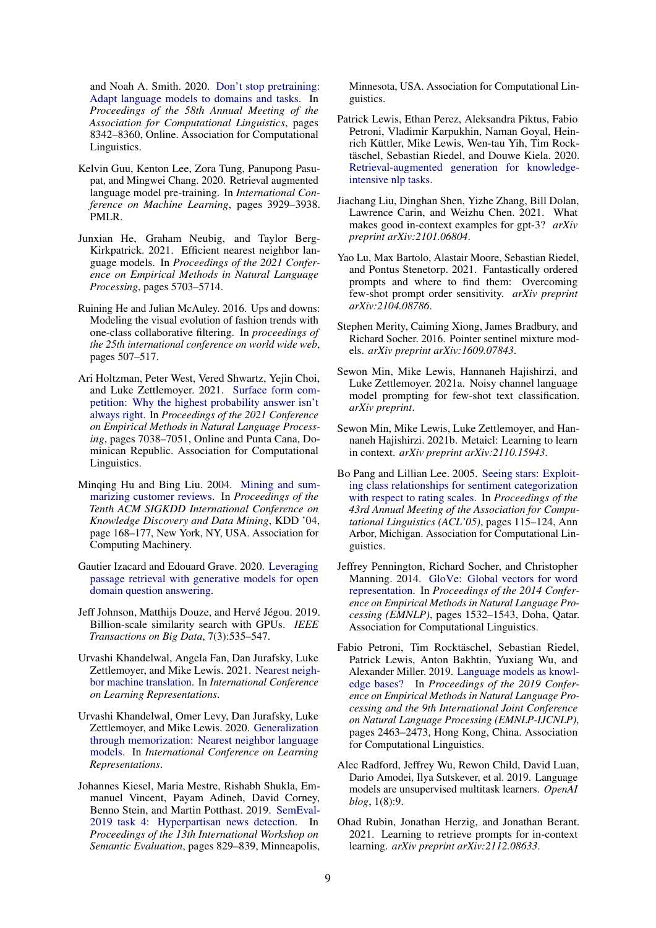and Noah A. Smith. 2020. [Don't stop pretraining:](https://doi.org/10.18653/v1/2020.acl-main.740) [Adapt language models to domains and tasks.](https://doi.org/10.18653/v1/2020.acl-main.740) In *Proceedings of the 58th Annual Meeting of the Association for Computational Linguistics*, pages 8342–8360, Online. Association for Computational Linguistics.

- <span id="page-8-15"></span>Kelvin Guu, Kenton Lee, Zora Tung, Panupong Pasupat, and Mingwei Chang. 2020. Retrieval augmented language model pre-training. In *International Conference on Machine Learning*, pages 3929–3938. PMLR.
- <span id="page-8-2"></span>Junxian He, Graham Neubig, and Taylor Berg-Kirkpatrick. 2021. Efficient nearest neighbor language models. In *Proceedings of the 2021 Conference on Empirical Methods in Natural Language Processing*, pages 5703–5714.
- <span id="page-8-12"></span>Ruining He and Julian McAuley. 2016. Ups and downs: Modeling the visual evolution of fashion trends with one-class collaborative filtering. In *proceedings of the 25th international conference on world wide web*, pages 507–517.
- <span id="page-8-4"></span>Ari Holtzman, Peter West, Vered Shwartz, Yejin Choi, and Luke Zettlemoyer. 2021. [Surface form com](https://doi.org/10.18653/v1/2021.emnlp-main.564)[petition: Why the highest probability answer isn't](https://doi.org/10.18653/v1/2021.emnlp-main.564) [always right.](https://doi.org/10.18653/v1/2021.emnlp-main.564) In *Proceedings of the 2021 Conference on Empirical Methods in Natural Language Processing*, pages 7038–7051, Online and Punta Cana, Dominican Republic. Association for Computational Linguistics.
- <span id="page-8-7"></span>Minqing Hu and Bing Liu. 2004. [Mining and sum](https://doi.org/10.1145/1014052.1014073)[marizing customer reviews.](https://doi.org/10.1145/1014052.1014073) In *Proceedings of the Tenth ACM SIGKDD International Conference on Knowledge Discovery and Data Mining*, KDD '04, page 168–177, New York, NY, USA. Association for Computing Machinery.
- <span id="page-8-13"></span>Gautier Izacard and Edouard Grave. 2020. [Leveraging](https://doi.org/10.48550/ARXIV.2007.01282) [passage retrieval with generative models for open](https://doi.org/10.48550/ARXIV.2007.01282) [domain question answering.](https://doi.org/10.48550/ARXIV.2007.01282)
- <span id="page-8-10"></span>Jeff Johnson, Matthijs Douze, and Hervé Jégou. 2019. Billion-scale similarity search with GPUs. *IEEE Transactions on Big Data*, 7(3):535–547.
- <span id="page-8-0"></span>Urvashi Khandelwal, Angela Fan, Dan Jurafsky, Luke Zettlemoyer, and Mike Lewis. 2021. [Nearest neigh](https://openreview.net/forum?id=7wCBOfJ8hJM)[bor machine translation.](https://openreview.net/forum?id=7wCBOfJ8hJM) In *International Conference on Learning Representations*.
- <span id="page-8-1"></span>Urvashi Khandelwal, Omer Levy, Dan Jurafsky, Luke Zettlemoyer, and Mike Lewis. 2020. [Generalization](https://openreview.net/forum?id=HklBjCEKvH) [through memorization: Nearest neighbor language](https://openreview.net/forum?id=HklBjCEKvH) [models.](https://openreview.net/forum?id=HklBjCEKvH) In *International Conference on Learning Representations*.
- <span id="page-8-8"></span>Johannes Kiesel, Maria Mestre, Rishabh Shukla, Emmanuel Vincent, Payam Adineh, David Corney, Benno Stein, and Martin Potthast. 2019. [SemEval-](https://doi.org/10.18653/v1/S19-2145)[2019 task 4: Hyperpartisan news detection.](https://doi.org/10.18653/v1/S19-2145) In *Proceedings of the 13th International Workshop on Semantic Evaluation*, pages 829–839, Minneapolis,

Minnesota, USA. Association for Computational Linguistics.

- <span id="page-8-14"></span>Patrick Lewis, Ethan Perez, Aleksandra Piktus, Fabio Petroni, Vladimir Karpukhin, Naman Goyal, Heinrich Küttler, Mike Lewis, Wen-tau Yih, Tim Rocktäschel, Sebastian Riedel, and Douwe Kiela. 2020. [Retrieval-augmented generation for knowledge](https://doi.org/10.48550/ARXIV.2005.11401)[intensive nlp tasks.](https://doi.org/10.48550/ARXIV.2005.11401)
- <span id="page-8-20"></span>Jiachang Liu, Dinghan Shen, Yizhe Zhang, Bill Dolan, Lawrence Carin, and Weizhu Chen. 2021. What makes good in-context examples for gpt-3? *arXiv preprint arXiv:2101.06804*.
- <span id="page-8-17"></span>Yao Lu, Max Bartolo, Alastair Moore, Sebastian Riedel, and Pontus Stenetorp. 2021. Fantastically ordered prompts and where to find them: Overcoming few-shot prompt order sensitivity. *arXiv preprint arXiv:2104.08786*.
- <span id="page-8-11"></span>Stephen Merity, Caiming Xiong, James Bradbury, and Richard Socher. 2016. Pointer sentinel mixture models. *arXiv preprint arXiv:1609.07843*.
- <span id="page-8-16"></span>Sewon Min, Mike Lewis, Hannaneh Hajishirzi, and Luke Zettlemoyer. 2021a. Noisy channel language model prompting for few-shot text classification. *arXiv preprint*.
- <span id="page-8-18"></span>Sewon Min, Mike Lewis, Luke Zettlemoyer, and Hannaneh Hajishirzi. 2021b. Metaicl: Learning to learn in context. *arXiv preprint arXiv:2110.15943*.
- <span id="page-8-6"></span>Bo Pang and Lillian Lee. 2005. [Seeing stars: Exploit](https://doi.org/10.3115/1219840.1219855)[ing class relationships for sentiment categorization](https://doi.org/10.3115/1219840.1219855) [with respect to rating scales.](https://doi.org/10.3115/1219840.1219855) In *Proceedings of the 43rd Annual Meeting of the Association for Computational Linguistics (ACL'05)*, pages 115–124, Ann Arbor, Michigan. Association for Computational Linguistics.
- <span id="page-8-5"></span>Jeffrey Pennington, Richard Socher, and Christopher Manning. 2014. [GloVe: Global vectors for word](https://doi.org/10.3115/v1/D14-1162) [representation.](https://doi.org/10.3115/v1/D14-1162) In *Proceedings of the 2014 Conference on Empirical Methods in Natural Language Processing (EMNLP)*, pages 1532–1543, Doha, Qatar. Association for Computational Linguistics.
- <span id="page-8-9"></span>Fabio Petroni, Tim Rocktäschel, Sebastian Riedel, Patrick Lewis, Anton Bakhtin, Yuxiang Wu, and Alexander Miller. 2019. [Language models as knowl](https://doi.org/10.18653/v1/D19-1250)[edge bases?](https://doi.org/10.18653/v1/D19-1250) In *Proceedings of the 2019 Conference on Empirical Methods in Natural Language Processing and the 9th International Joint Conference on Natural Language Processing (EMNLP-IJCNLP)*, pages 2463–2473, Hong Kong, China. Association for Computational Linguistics.
- <span id="page-8-3"></span>Alec Radford, Jeffrey Wu, Rewon Child, David Luan, Dario Amodei, Ilya Sutskever, et al. 2019. Language models are unsupervised multitask learners. *OpenAI blog*, 1(8):9.
- <span id="page-8-19"></span>Ohad Rubin, Jonathan Herzig, and Jonathan Berant. 2021. Learning to retrieve prompts for in-context learning. *arXiv preprint arXiv:2112.08633*.